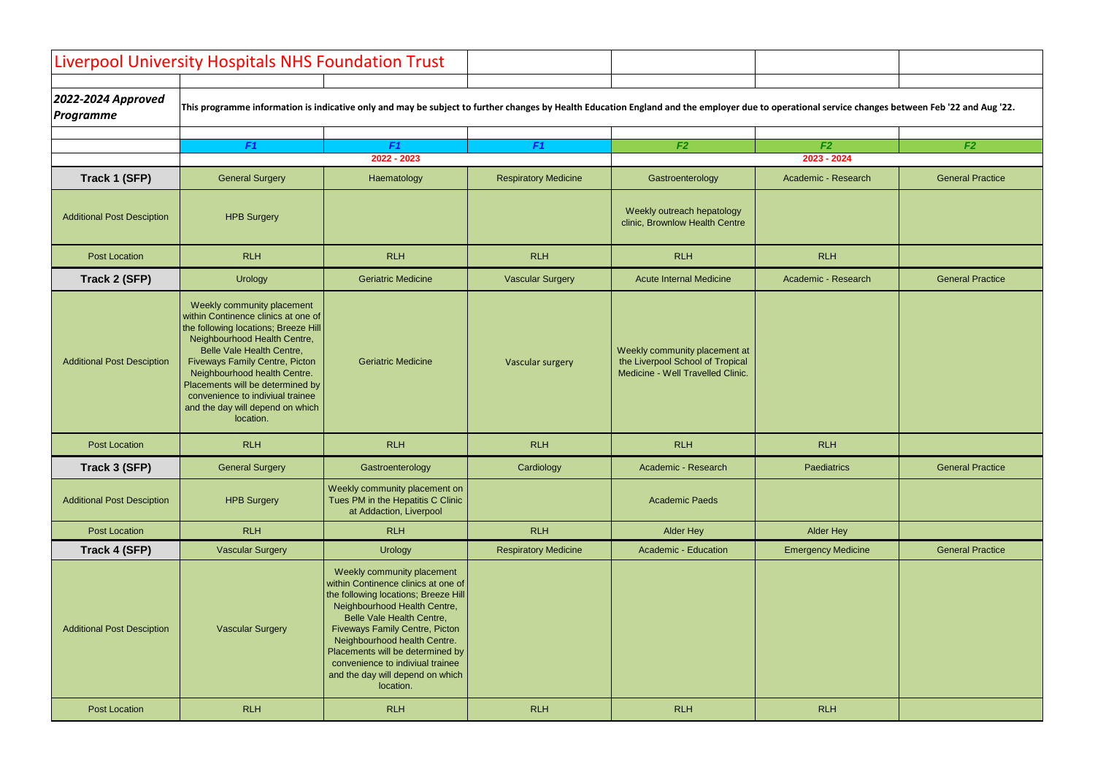|                                        | Liverpool University Hospitals NHS Foundation Trust                                                                                                                                                                                                                                                                                                                      |                                                                                                                                                                                                                                                                                                                                                                          |                             |                                                                                                                                                                                                  |                           |                         |
|----------------------------------------|--------------------------------------------------------------------------------------------------------------------------------------------------------------------------------------------------------------------------------------------------------------------------------------------------------------------------------------------------------------------------|--------------------------------------------------------------------------------------------------------------------------------------------------------------------------------------------------------------------------------------------------------------------------------------------------------------------------------------------------------------------------|-----------------------------|--------------------------------------------------------------------------------------------------------------------------------------------------------------------------------------------------|---------------------------|-------------------------|
| 2022-2024 Approved<br><b>Programme</b> |                                                                                                                                                                                                                                                                                                                                                                          |                                                                                                                                                                                                                                                                                                                                                                          |                             | This programme information is indicative only and may be subject to further changes by Health Education England and the employer due to operational service changes between Feb '22 and Aug '22. |                           |                         |
|                                        | F <sub>1</sub>                                                                                                                                                                                                                                                                                                                                                           | F <sub>1</sub>                                                                                                                                                                                                                                                                                                                                                           | F <sub>1</sub>              | F2                                                                                                                                                                                               | F2                        | F2                      |
|                                        |                                                                                                                                                                                                                                                                                                                                                                          | 2022 - 2023                                                                                                                                                                                                                                                                                                                                                              |                             |                                                                                                                                                                                                  | 2023 - 2024               |                         |
| Track 1 (SFP)                          | <b>General Surgery</b>                                                                                                                                                                                                                                                                                                                                                   | Haematology                                                                                                                                                                                                                                                                                                                                                              | <b>Respiratory Medicine</b> | Gastroenterology                                                                                                                                                                                 | Academic - Research       | <b>General Practice</b> |
| <b>Additional Post Desciption</b>      | <b>HPB Surgery</b>                                                                                                                                                                                                                                                                                                                                                       |                                                                                                                                                                                                                                                                                                                                                                          |                             | Weekly outreach hepatology<br>clinic, Brownlow Health Centre                                                                                                                                     |                           |                         |
| <b>Post Location</b>                   | <b>RLH</b>                                                                                                                                                                                                                                                                                                                                                               | <b>RLH</b>                                                                                                                                                                                                                                                                                                                                                               | <b>RLH</b>                  | <b>RLH</b>                                                                                                                                                                                       | <b>RLH</b>                |                         |
| Track 2 (SFP)                          | <b>Urology</b>                                                                                                                                                                                                                                                                                                                                                           | <b>Geriatric Medicine</b>                                                                                                                                                                                                                                                                                                                                                | <b>Vascular Surgery</b>     | <b>Acute Internal Medicine</b>                                                                                                                                                                   | Academic - Research       | <b>General Practice</b> |
| <b>Additional Post Desciption</b>      | Weekly community placement<br>within Continence clinics at one of<br>the following locations; Breeze Hill<br>Neighbourhood Health Centre,<br>Belle Vale Health Centre,<br><b>Fiveways Family Centre, Picton</b><br>Neighbourhood health Centre.<br>Placements will be determined by<br>convenience to indiviual trainee<br>and the day will depend on which<br>location. | <b>Geriatric Medicine</b>                                                                                                                                                                                                                                                                                                                                                | Vascular surgery            | Weekly community placement at<br>the Liverpool School of Tropical<br>Medicine - Well Travelled Clinic.                                                                                           |                           |                         |
| <b>Post Location</b>                   | <b>RLH</b>                                                                                                                                                                                                                                                                                                                                                               | <b>RLH</b>                                                                                                                                                                                                                                                                                                                                                               | <b>RLH</b>                  | <b>RLH</b>                                                                                                                                                                                       | <b>RLH</b>                |                         |
| Track 3 (SFP)                          | <b>General Surgery</b>                                                                                                                                                                                                                                                                                                                                                   | Gastroenterology                                                                                                                                                                                                                                                                                                                                                         | Cardiology                  | Academic - Research                                                                                                                                                                              | Paediatrics               | <b>General Practice</b> |
| <b>Additional Post Desciption</b>      | <b>HPB Surgery</b>                                                                                                                                                                                                                                                                                                                                                       | Weekly community placement on<br>Tues PM in the Hepatitis C Clinic<br>at Addaction, Liverpool                                                                                                                                                                                                                                                                            |                             | <b>Academic Paeds</b>                                                                                                                                                                            |                           |                         |
| <b>Post Location</b>                   | <b>RLH</b>                                                                                                                                                                                                                                                                                                                                                               | <b>RLH</b>                                                                                                                                                                                                                                                                                                                                                               | <b>RLH</b>                  | <b>Alder Hey</b>                                                                                                                                                                                 | <b>Alder Hey</b>          |                         |
| Track 4 (SFP)                          | <b>Vascular Surgery</b>                                                                                                                                                                                                                                                                                                                                                  | <b>Urology</b>                                                                                                                                                                                                                                                                                                                                                           | <b>Respiratory Medicine</b> | Academic - Education                                                                                                                                                                             | <b>Emergency Medicine</b> | <b>General Practice</b> |
| <b>Additional Post Desciption</b>      | <b>Vascular Surgery</b>                                                                                                                                                                                                                                                                                                                                                  | Weekly community placement<br>within Continence clinics at one of<br>the following locations; Breeze Hill<br>Neighbourhood Health Centre,<br>Belle Vale Health Centre,<br><b>Fiveways Family Centre, Picton</b><br>Neighbourhood health Centre.<br>Placements will be determined by<br>convenience to indiviual trainee<br>and the day will depend on which<br>location. |                             |                                                                                                                                                                                                  |                           |                         |
| <b>Post Location</b>                   | <b>RLH</b>                                                                                                                                                                                                                                                                                                                                                               | <b>RLH</b>                                                                                                                                                                                                                                                                                                                                                               | <b>RLH</b>                  | <b>RLH</b>                                                                                                                                                                                       | <b>RLH</b>                |                         |

| ervice changes between Feb '22 and Aug '22. |                         |  |  |  |  |  |  |
|---------------------------------------------|-------------------------|--|--|--|--|--|--|
| $\overline{2}$                              | F2                      |  |  |  |  |  |  |
| $-2024$                                     |                         |  |  |  |  |  |  |
| Research                                    | <b>General Practice</b> |  |  |  |  |  |  |
|                                             |                         |  |  |  |  |  |  |
|                                             |                         |  |  |  |  |  |  |
| H                                           |                         |  |  |  |  |  |  |
| Research                                    | <b>General Practice</b> |  |  |  |  |  |  |
|                                             |                         |  |  |  |  |  |  |
|                                             |                         |  |  |  |  |  |  |
|                                             |                         |  |  |  |  |  |  |
|                                             |                         |  |  |  |  |  |  |
|                                             |                         |  |  |  |  |  |  |
|                                             |                         |  |  |  |  |  |  |
| H,                                          |                         |  |  |  |  |  |  |
| atrics                                      | <b>General Practice</b> |  |  |  |  |  |  |
|                                             |                         |  |  |  |  |  |  |
| <sup>·</sup> Hey                            |                         |  |  |  |  |  |  |
| y Medicine                                  | <b>General Practice</b> |  |  |  |  |  |  |
|                                             |                         |  |  |  |  |  |  |
|                                             |                         |  |  |  |  |  |  |
|                                             |                         |  |  |  |  |  |  |
|                                             |                         |  |  |  |  |  |  |
|                                             |                         |  |  |  |  |  |  |
|                                             |                         |  |  |  |  |  |  |
| H                                           |                         |  |  |  |  |  |  |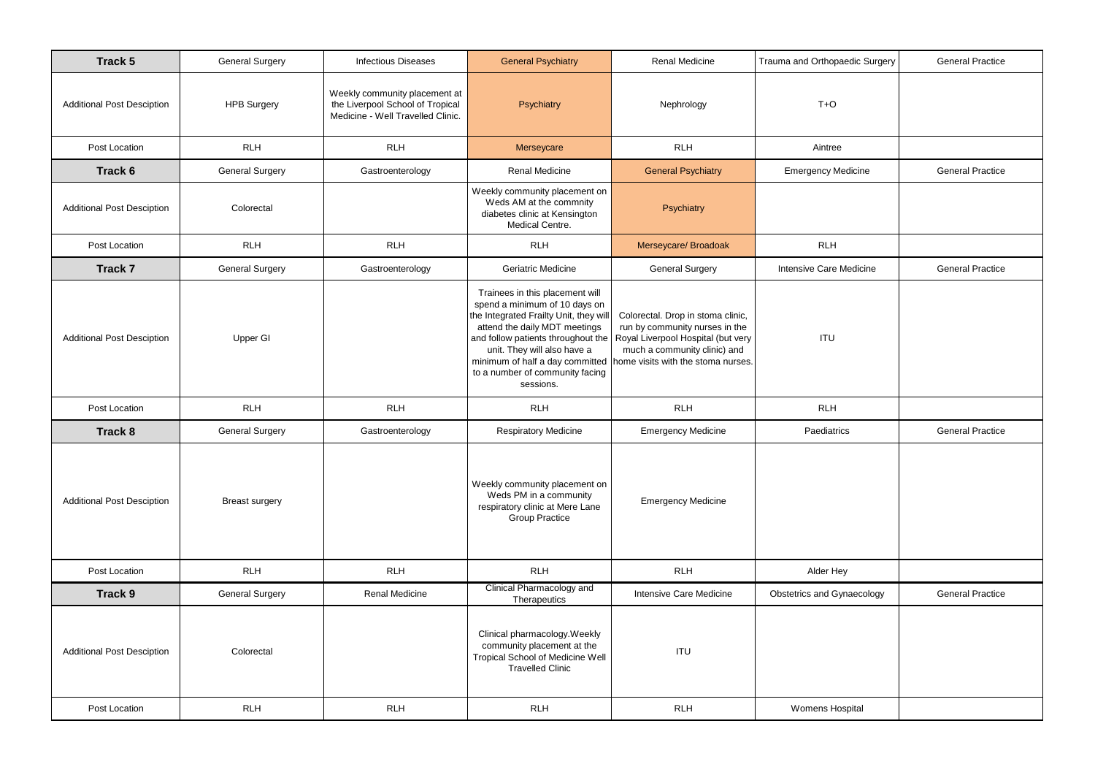| Track 5                           | <b>General Surgery</b> | <b>Infectious Diseases</b>                                                                             | <b>General Psychiatry</b>                                                                                                                                                                                                                                        | <b>Renal Medicine</b>                                                                                                                                                                                           | Trauma and Orthopaedic Surgery    | <b>General Practice</b> |
|-----------------------------------|------------------------|--------------------------------------------------------------------------------------------------------|------------------------------------------------------------------------------------------------------------------------------------------------------------------------------------------------------------------------------------------------------------------|-----------------------------------------------------------------------------------------------------------------------------------------------------------------------------------------------------------------|-----------------------------------|-------------------------|
| <b>Additional Post Desciption</b> | <b>HPB Surgery</b>     | Weekly community placement at<br>the Liverpool School of Tropical<br>Medicine - Well Travelled Clinic. | Psychiatry                                                                                                                                                                                                                                                       | Nephrology                                                                                                                                                                                                      | $T + O$                           |                         |
| Post Location                     | <b>RLH</b>             | <b>RLH</b>                                                                                             | Merseycare                                                                                                                                                                                                                                                       | <b>RLH</b>                                                                                                                                                                                                      | Aintree                           |                         |
| Track 6                           | <b>General Surgery</b> | Gastroenterology                                                                                       | <b>Renal Medicine</b>                                                                                                                                                                                                                                            | <b>General Psychiatry</b>                                                                                                                                                                                       | <b>Emergency Medicine</b>         | <b>General Practice</b> |
| <b>Additional Post Desciption</b> | Colorectal             |                                                                                                        | Weekly community placement on<br>Weds AM at the commnity<br>diabetes clinic at Kensington<br>Medical Centre.                                                                                                                                                     | Psychiatry                                                                                                                                                                                                      |                                   |                         |
| Post Location                     | <b>RLH</b>             | <b>RLH</b>                                                                                             | <b>RLH</b>                                                                                                                                                                                                                                                       | Merseycare/ Broadoak                                                                                                                                                                                            | <b>RLH</b>                        |                         |
| <b>Track 7</b>                    | <b>General Surgery</b> | Gastroenterology                                                                                       | <b>Geriatric Medicine</b>                                                                                                                                                                                                                                        | <b>General Surgery</b>                                                                                                                                                                                          | Intensive Care Medicine           | <b>General Practice</b> |
| <b>Additional Post Desciption</b> | Upper GI               |                                                                                                        | Trainees in this placement will<br>spend a minimum of 10 days on<br>the Integrated Frailty Unit, they will<br>attend the daily MDT meetings<br>and follow patients throughout the<br>unit. They will also have a<br>to a number of community facing<br>sessions. | Colorectal. Drop in stoma clinic,<br>run by community nurses in the<br>Royal Liverpool Hospital (but very<br>much a community clinic) and<br>minimum of half a day committed home visits with the stoma nurses. | <b>ITU</b>                        |                         |
| Post Location                     | <b>RLH</b>             | <b>RLH</b>                                                                                             | <b>RLH</b>                                                                                                                                                                                                                                                       | <b>RLH</b>                                                                                                                                                                                                      | <b>RLH</b>                        |                         |
| Track 8                           | <b>General Surgery</b> | Gastroenterology                                                                                       | <b>Respiratory Medicine</b>                                                                                                                                                                                                                                      | <b>Emergency Medicine</b>                                                                                                                                                                                       | Paediatrics                       | <b>General Practice</b> |
| <b>Additional Post Desciption</b> | <b>Breast surgery</b>  |                                                                                                        | Weekly community placement on<br>Weds PM in a community<br>respiratory clinic at Mere Lane<br><b>Group Practice</b>                                                                                                                                              | <b>Emergency Medicine</b>                                                                                                                                                                                       |                                   |                         |
| Post Location                     | <b>RLH</b>             | <b>RLH</b>                                                                                             | <b>RLH</b>                                                                                                                                                                                                                                                       | <b>RLH</b>                                                                                                                                                                                                      | Alder Hey                         |                         |
| Track 9                           | <b>General Surgery</b> | <b>Renal Medicine</b>                                                                                  | <b>Clinical Pharmacology and</b><br>Therapeutics                                                                                                                                                                                                                 | Intensive Care Medicine                                                                                                                                                                                         | <b>Obstetrics and Gynaecology</b> | <b>General Practice</b> |
| <b>Additional Post Desciption</b> | Colorectal             |                                                                                                        | Clinical pharmacology. Weekly<br>community placement at the<br><b>Tropical School of Medicine Well</b><br><b>Travelled Clinic</b>                                                                                                                                | <b>ITU</b>                                                                                                                                                                                                      |                                   |                         |
| Post Location                     | <b>RLH</b>             | <b>RLH</b>                                                                                             | <b>RLH</b>                                                                                                                                                                                                                                                       | <b>RLH</b>                                                                                                                                                                                                      | <b>Womens Hospital</b>            |                         |

| opaedic Surgery | <b>General Practice</b> |
|-----------------|-------------------------|
| ٠O              |                         |
|                 |                         |
| ree:            |                         |
| y Medicine      | <b>General Practice</b> |
|                 |                         |
| H               |                         |
|                 |                         |
| re Medicine     | <b>General Practice</b> |
|                 |                         |
|                 |                         |
| U               |                         |
|                 |                         |
|                 |                         |
| H.              |                         |
| atrics          | <b>General Practice</b> |
|                 |                         |
|                 |                         |
|                 |                         |
|                 |                         |
|                 |                         |
| Hey             |                         |
| Gynaecology     | <b>General Practice</b> |
|                 |                         |
|                 |                         |
|                 |                         |
|                 |                         |
| Hospital        |                         |
|                 |                         |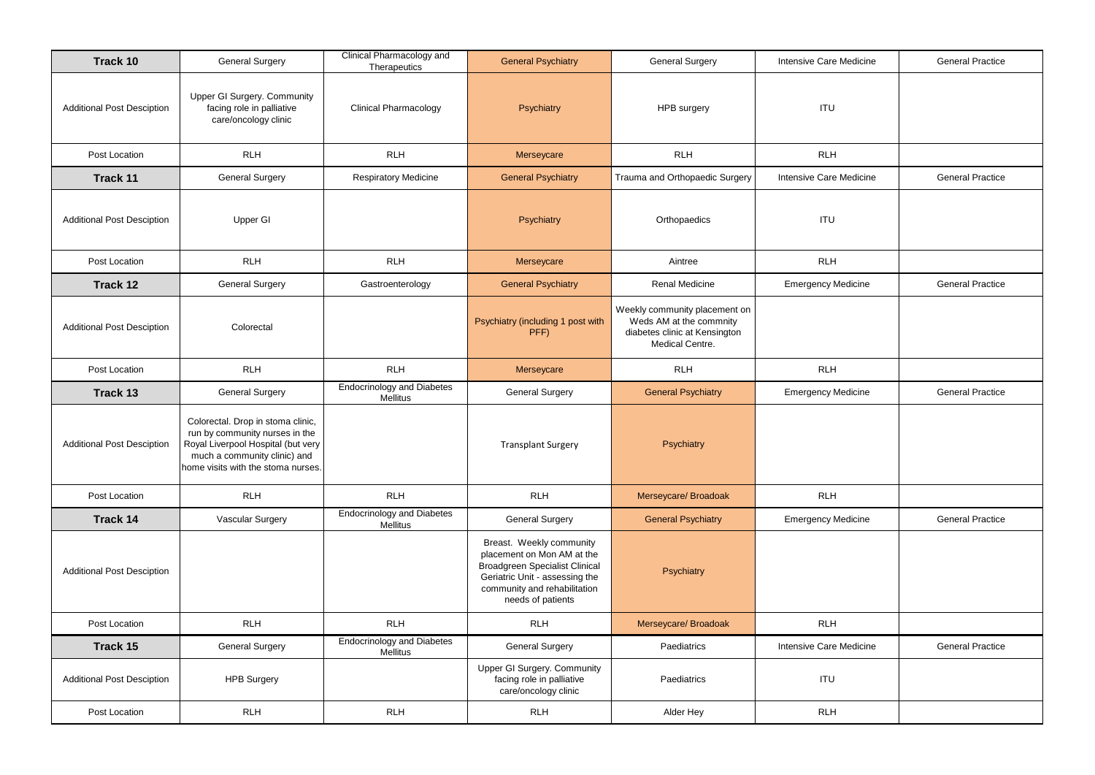| Track 10                          | <b>General Surgery</b>                                                                                                                                                          | <b>Clinical Pharmacology and</b><br>Therapeutics | <b>General Psychiatry</b>                                                                                                                                                              | <b>General Surgery</b>                                                                                       | Intensive Care Medicine   | <b>General Practice</b> |
|-----------------------------------|---------------------------------------------------------------------------------------------------------------------------------------------------------------------------------|--------------------------------------------------|----------------------------------------------------------------------------------------------------------------------------------------------------------------------------------------|--------------------------------------------------------------------------------------------------------------|---------------------------|-------------------------|
| <b>Additional Post Desciption</b> | <b>Upper GI Surgery. Community</b><br>facing role in palliative<br>care/oncology clinic                                                                                         | <b>Clinical Pharmacology</b>                     | Psychiatry                                                                                                                                                                             | <b>HPB</b> surgery                                                                                           | <b>ITU</b>                |                         |
| Post Location                     | <b>RLH</b>                                                                                                                                                                      | <b>RLH</b>                                       | Merseycare                                                                                                                                                                             | RLH                                                                                                          | <b>RLH</b>                |                         |
| <b>Track 11</b>                   | <b>General Surgery</b>                                                                                                                                                          | <b>Respiratory Medicine</b>                      | <b>General Psychiatry</b>                                                                                                                                                              | Trauma and Orthopaedic Surgery                                                                               | Intensive Care Medicine   | <b>General Practice</b> |
| <b>Additional Post Desciption</b> | Upper GI                                                                                                                                                                        |                                                  | Psychiatry                                                                                                                                                                             | Orthopaedics                                                                                                 | <b>ITU</b>                |                         |
| Post Location                     | <b>RLH</b>                                                                                                                                                                      | <b>RLH</b>                                       | Merseycare                                                                                                                                                                             | Aintree                                                                                                      | <b>RLH</b>                |                         |
| Track 12                          | <b>General Surgery</b>                                                                                                                                                          | Gastroenterology                                 | <b>General Psychiatry</b>                                                                                                                                                              | Renal Medicine                                                                                               | <b>Emergency Medicine</b> | <b>General Practice</b> |
| <b>Additional Post Desciption</b> | Colorectal                                                                                                                                                                      |                                                  | Psychiatry (including 1 post with<br>PFF)                                                                                                                                              | Weekly community placement on<br>Weds AM at the commnity<br>diabetes clinic at Kensington<br>Medical Centre. |                           |                         |
| Post Location                     | <b>RLH</b>                                                                                                                                                                      | <b>RLH</b>                                       | Merseycare                                                                                                                                                                             | <b>RLH</b>                                                                                                   | <b>RLH</b>                |                         |
| Track 13                          | <b>General Surgery</b>                                                                                                                                                          | <b>Endocrinology and Diabetes</b><br>Mellitus    | <b>General Surgery</b>                                                                                                                                                                 | <b>General Psychiatry</b>                                                                                    | <b>Emergency Medicine</b> | <b>General Practice</b> |
| <b>Additional Post Desciption</b> | Colorectal. Drop in stoma clinic,<br>run by community nurses in the<br>Royal Liverpool Hospital (but very<br>much a community clinic) and<br>home visits with the stoma nurses. |                                                  | <b>Transplant Surgery</b>                                                                                                                                                              | Psychiatry                                                                                                   |                           |                         |
| Post Location                     | <b>RLH</b>                                                                                                                                                                      | <b>RLH</b>                                       | <b>RLH</b>                                                                                                                                                                             | Merseycare/ Broadoak                                                                                         | <b>RLH</b>                |                         |
| Track 14                          | Vascular Surgery                                                                                                                                                                | <b>Endocrinology and Diabetes</b><br>Mellitus    | <b>General Surgery</b>                                                                                                                                                                 | <b>General Psychiatry</b>                                                                                    | <b>Emergency Medicine</b> | <b>General Practice</b> |
| <b>Additional Post Desciption</b> |                                                                                                                                                                                 |                                                  | Breast. Weekly community<br>placement on Mon AM at the<br><b>Broadgreen Specialist Clinical</b><br>Geriatric Unit - assessing the<br>community and rehabilitation<br>needs of patients | Psychiatry                                                                                                   |                           |                         |
| Post Location                     | <b>RLH</b>                                                                                                                                                                      | <b>RLH</b>                                       | <b>RLH</b>                                                                                                                                                                             | Merseycare/ Broadoak                                                                                         | <b>RLH</b>                |                         |
| Track 15                          | <b>General Surgery</b>                                                                                                                                                          | <b>Endocrinology and Diabetes</b><br>Mellitus    | <b>General Surgery</b>                                                                                                                                                                 | Paediatrics                                                                                                  | Intensive Care Medicine   | <b>General Practice</b> |
| <b>Additional Post Desciption</b> | <b>HPB Surgery</b>                                                                                                                                                              |                                                  | <b>Upper GI Surgery. Community</b><br>facing role in palliative<br>care/oncology clinic                                                                                                | Paediatrics                                                                                                  | <b>ITU</b>                |                         |
| Post Location                     | <b>RLH</b>                                                                                                                                                                      | <b>RLH</b>                                       | <b>RLH</b>                                                                                                                                                                             | Alder Hey                                                                                                    | <b>RLH</b>                |                         |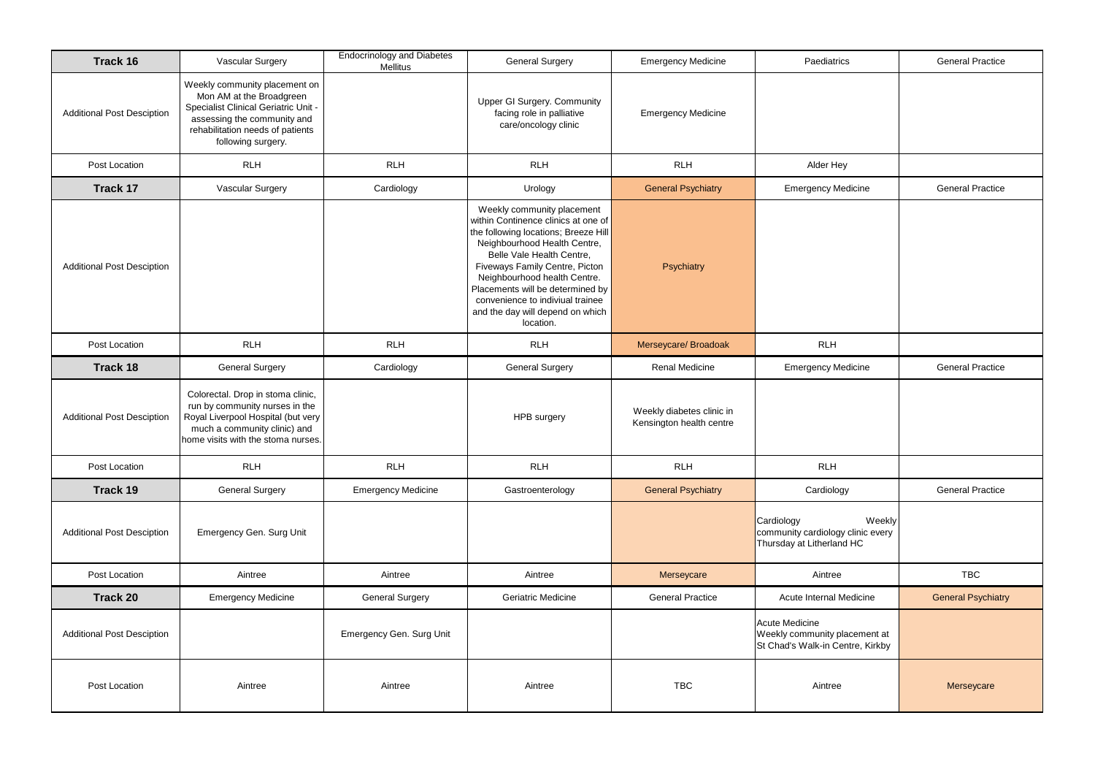| Track 16                          | Vascular Surgery                                                                                                                                                                                  | <b>Endocrinology and Diabetes</b><br>Mellitus | <b>General Surgery</b>                                                                                                                                                                                                                                                                                                                                            | <b>Emergency Medicine</b>                             | Paediatrics                                                                            | <b>General Practice</b>   |
|-----------------------------------|---------------------------------------------------------------------------------------------------------------------------------------------------------------------------------------------------|-----------------------------------------------|-------------------------------------------------------------------------------------------------------------------------------------------------------------------------------------------------------------------------------------------------------------------------------------------------------------------------------------------------------------------|-------------------------------------------------------|----------------------------------------------------------------------------------------|---------------------------|
| <b>Additional Post Desciption</b> | Weekly community placement on<br>Mon AM at the Broadgreen<br><b>Specialist Clinical Geriatric Unit -</b><br>assessing the community and<br>rehabilitation needs of patients<br>following surgery. |                                               | <b>Upper GI Surgery. Community</b><br>facing role in palliative<br>care/oncology clinic                                                                                                                                                                                                                                                                           | <b>Emergency Medicine</b>                             |                                                                                        |                           |
| Post Location                     | <b>RLH</b>                                                                                                                                                                                        | <b>RLH</b>                                    | <b>RLH</b>                                                                                                                                                                                                                                                                                                                                                        | <b>RLH</b>                                            | Alder Hey                                                                              |                           |
| Track 17                          | <b>Vascular Surgery</b>                                                                                                                                                                           | Cardiology                                    | Urology                                                                                                                                                                                                                                                                                                                                                           | <b>General Psychiatry</b>                             | <b>Emergency Medicine</b>                                                              | <b>General Practice</b>   |
| <b>Additional Post Desciption</b> |                                                                                                                                                                                                   |                                               | Weekly community placement<br>within Continence clinics at one of<br>the following locations; Breeze Hill<br>Neighbourhood Health Centre,<br>Belle Vale Health Centre,<br>Fiveways Family Centre, Picton<br>Neighbourhood health Centre.<br>Placements will be determined by<br>convenience to indiviual trainee<br>and the day will depend on which<br>location. | Psychiatry                                            |                                                                                        |                           |
| Post Location                     | <b>RLH</b>                                                                                                                                                                                        | <b>RLH</b>                                    | <b>RLH</b>                                                                                                                                                                                                                                                                                                                                                        | Merseycare/ Broadoak                                  | <b>RLH</b>                                                                             |                           |
| <b>Track 18</b>                   | <b>General Surgery</b>                                                                                                                                                                            | Cardiology                                    | <b>General Surgery</b>                                                                                                                                                                                                                                                                                                                                            | <b>Renal Medicine</b>                                 | <b>Emergency Medicine</b>                                                              | <b>General Practice</b>   |
| <b>Additional Post Desciption</b> | Colorectal. Drop in stoma clinic,<br>run by community nurses in the<br>Royal Liverpool Hospital (but very<br>much a community clinic) and<br>home visits with the stoma nurses.                   |                                               | HPB surgery                                                                                                                                                                                                                                                                                                                                                       | Weekly diabetes clinic in<br>Kensington health centre |                                                                                        |                           |
| Post Location                     | <b>RLH</b>                                                                                                                                                                                        | <b>RLH</b>                                    | <b>RLH</b>                                                                                                                                                                                                                                                                                                                                                        | <b>RLH</b>                                            | <b>RLH</b>                                                                             |                           |
| Track 19                          | <b>General Surgery</b>                                                                                                                                                                            | <b>Emergency Medicine</b>                     | Gastroenterology                                                                                                                                                                                                                                                                                                                                                  | <b>General Psychiatry</b>                             | Cardiology                                                                             | <b>General Practice</b>   |
| <b>Additional Post Desciption</b> | Emergency Gen. Surg Unit                                                                                                                                                                          |                                               |                                                                                                                                                                                                                                                                                                                                                                   |                                                       | Cardiology<br>Weekly<br>community cardiology clinic every<br>Thursday at Litherland HC |                           |
| Post Location                     | Aintree                                                                                                                                                                                           | Aintree                                       | Aintree                                                                                                                                                                                                                                                                                                                                                           | Merseycare                                            | Aintree                                                                                | <b>TBC</b>                |
| <b>Track 20</b>                   | <b>Emergency Medicine</b>                                                                                                                                                                         | <b>General Surgery</b>                        | Geriatric Medicine                                                                                                                                                                                                                                                                                                                                                | <b>General Practice</b>                               | Acute Internal Medicine                                                                | <b>General Psychiatry</b> |
| <b>Additional Post Desciption</b> |                                                                                                                                                                                                   | Emergency Gen. Surg Unit                      |                                                                                                                                                                                                                                                                                                                                                                   |                                                       | Acute Medicine<br>Weekly community placement at<br>St Chad's Walk-in Centre, Kirkby    |                           |
| Post Location                     | Aintree                                                                                                                                                                                           | Aintree                                       | Aintree                                                                                                                                                                                                                                                                                                                                                           | <b>TBC</b>                                            | Aintree                                                                                | Merseycare                |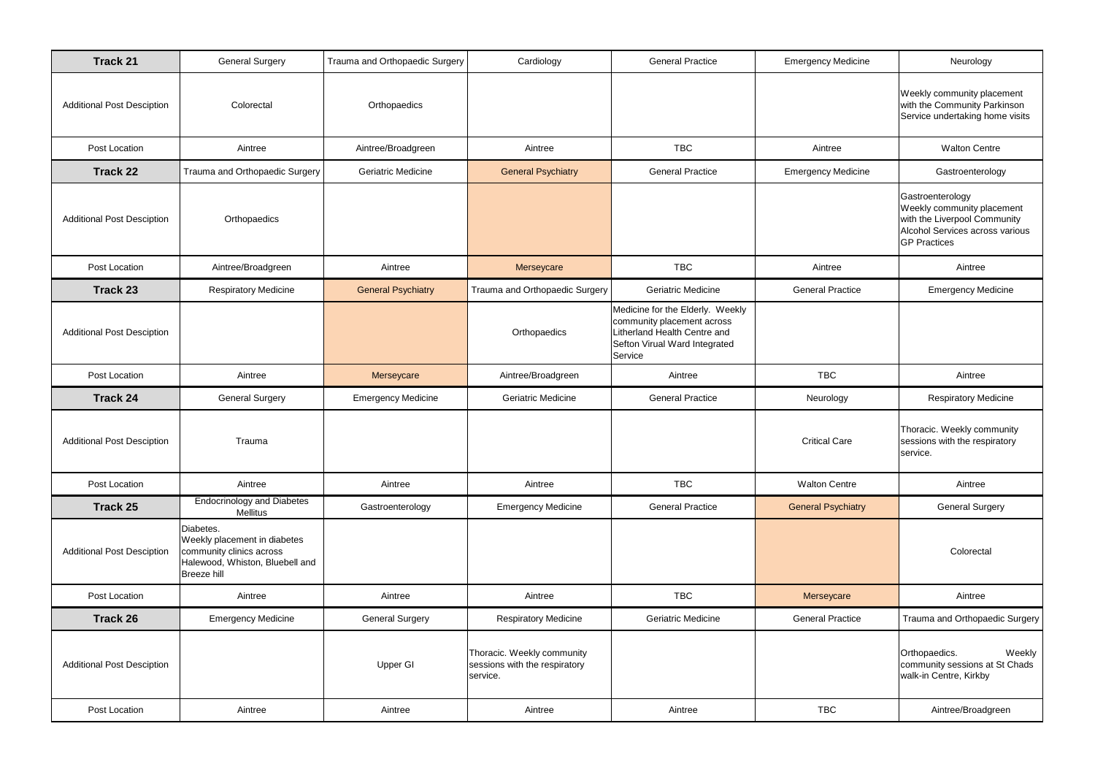| <b>Track 21</b>                   | <b>General Surgery</b>                                                                                                  | Trauma and Orthopaedic Surgery | Cardiology                                                              | <b>General Practice</b>                                                                                                                   | <b>Emergency Medicine</b> | Neurology                                                                                                                                |
|-----------------------------------|-------------------------------------------------------------------------------------------------------------------------|--------------------------------|-------------------------------------------------------------------------|-------------------------------------------------------------------------------------------------------------------------------------------|---------------------------|------------------------------------------------------------------------------------------------------------------------------------------|
| <b>Additional Post Desciption</b> | Colorectal                                                                                                              | Orthopaedics                   |                                                                         |                                                                                                                                           |                           | Weekly community placement<br>with the Community Parkinson<br>Service undertaking home visits                                            |
| Post Location                     | Aintree                                                                                                                 | Aintree/Broadgreen             | Aintree                                                                 | <b>TBC</b>                                                                                                                                | Aintree                   | <b>Walton Centre</b>                                                                                                                     |
| Track 22                          | Trauma and Orthopaedic Surgery                                                                                          | <b>Geriatric Medicine</b>      | <b>General Psychiatry</b>                                               | <b>General Practice</b>                                                                                                                   | <b>Emergency Medicine</b> | Gastroenterology                                                                                                                         |
| <b>Additional Post Desciption</b> | Orthopaedics                                                                                                            |                                |                                                                         |                                                                                                                                           |                           | Gastroenterology<br>Weekly community placement<br>with the Liverpool Community<br>Alcohol Services across various<br><b>GP Practices</b> |
| Post Location                     | Aintree/Broadgreen                                                                                                      | Aintree                        | Merseycare                                                              | <b>TBC</b>                                                                                                                                | Aintree                   | Aintree                                                                                                                                  |
| <b>Track 23</b>                   | <b>Respiratory Medicine</b>                                                                                             | <b>General Psychiatry</b>      | Trauma and Orthopaedic Surgery                                          | <b>Geriatric Medicine</b>                                                                                                                 | <b>General Practice</b>   | <b>Emergency Medicine</b>                                                                                                                |
| <b>Additional Post Desciption</b> |                                                                                                                         |                                | Orthopaedics                                                            | Medicine for the Elderly. Weekly<br>community placement across<br>itherland Health Centre and<br>Sefton Virual Ward Integrated<br>Service |                           |                                                                                                                                          |
| Post Location                     | Aintree                                                                                                                 | Merseycare                     | Aintree/Broadgreen                                                      | Aintree                                                                                                                                   | <b>TBC</b>                | Aintree                                                                                                                                  |
| <b>Track 24</b>                   | <b>General Surgery</b>                                                                                                  | <b>Emergency Medicine</b>      | <b>Geriatric Medicine</b>                                               | <b>General Practice</b>                                                                                                                   | Neurology                 | <b>Respiratory Medicine</b>                                                                                                              |
| <b>Additional Post Desciption</b> | Trauma                                                                                                                  |                                |                                                                         |                                                                                                                                           | <b>Critical Care</b>      | Thoracic. Weekly community<br>sessions with the respiratory<br>service.                                                                  |
| Post Location                     | Aintree                                                                                                                 | Aintree                        | Aintree                                                                 | <b>TBC</b>                                                                                                                                | <b>Walton Centre</b>      | Aintree                                                                                                                                  |
| <b>Track 25</b>                   | <b>Endocrinology and Diabetes</b><br>Mellitus                                                                           | Gastroenterology               | <b>Emergency Medicine</b>                                               | <b>General Practice</b>                                                                                                                   | <b>General Psychiatry</b> | <b>General Surgery</b>                                                                                                                   |
| <b>Additional Post Desciption</b> | Diabetes.<br>Weekly placement in diabetes<br>community clinics across<br>Halewood, Whiston, Bluebell and<br>Breeze hill |                                |                                                                         |                                                                                                                                           |                           | Colorectal                                                                                                                               |
| Post Location                     | Aintree                                                                                                                 | Aintree                        | Aintree                                                                 | <b>TBC</b>                                                                                                                                | Merseycare                | Aintree                                                                                                                                  |
| <b>Track 26</b>                   | <b>Emergency Medicine</b>                                                                                               | <b>General Surgery</b>         | <b>Respiratory Medicine</b>                                             | <b>Geriatric Medicine</b>                                                                                                                 | <b>General Practice</b>   | Trauma and Orthopaedic Surgery                                                                                                           |
| <b>Additional Post Desciption</b> |                                                                                                                         | Upper GI                       | Thoracic. Weekly community<br>sessions with the respiratory<br>service. |                                                                                                                                           |                           | Orthopaedics.<br>Weekly<br>community sessions at St Chads<br>walk-in Centre, Kirkby                                                      |
| Post Location                     | Aintree                                                                                                                 | Aintree                        | Aintree                                                                 | Aintree                                                                                                                                   | <b>TBC</b>                | Aintree/Broadgreen                                                                                                                       |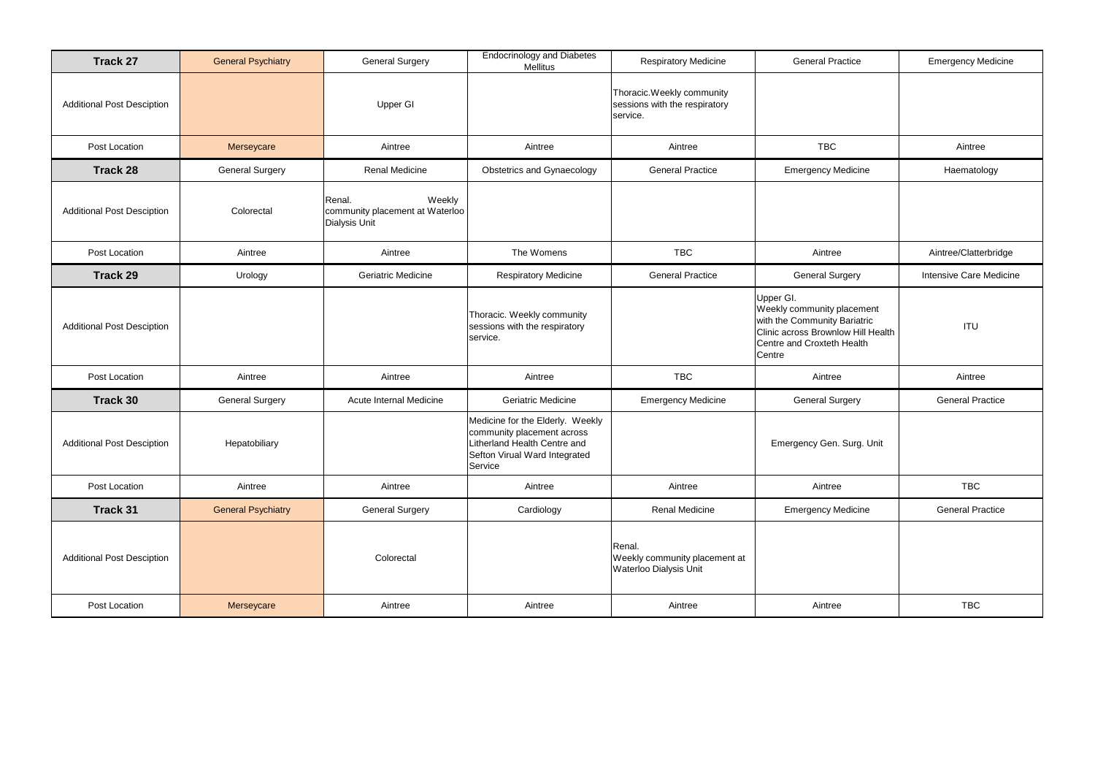| <b>Track 27</b>                   | <b>General Psychiatry</b> | <b>General Surgery</b>                                               | <b>Endocrinology and Diabetes</b><br><b>Mellitus</b>                                                                                       | <b>Respiratory Medicine</b>                                            | <b>General Practice</b>                                                                                                                               | <b>Emergency Medicine</b>      |
|-----------------------------------|---------------------------|----------------------------------------------------------------------|--------------------------------------------------------------------------------------------------------------------------------------------|------------------------------------------------------------------------|-------------------------------------------------------------------------------------------------------------------------------------------------------|--------------------------------|
| <b>Additional Post Desciption</b> |                           | <b>Upper GI</b>                                                      |                                                                                                                                            | Thoracic.Weekly community<br>sessions with the respiratory<br>service. |                                                                                                                                                       |                                |
| Post Location                     | Merseycare                | Aintree                                                              | Aintree                                                                                                                                    | Aintree                                                                | <b>TBC</b>                                                                                                                                            | Aintree                        |
| <b>Track 28</b>                   | <b>General Surgery</b>    | <b>Renal Medicine</b>                                                | Obstetrics and Gynaecology                                                                                                                 | <b>General Practice</b>                                                | <b>Emergency Medicine</b>                                                                                                                             | Haematology                    |
| <b>Additional Post Desciption</b> | Colorectal                | Weekly<br>Renal.<br>community placement at Waterloo<br>Dialysis Unit |                                                                                                                                            |                                                                        |                                                                                                                                                       |                                |
| Post Location                     | Aintree                   | Aintree                                                              | The Womens                                                                                                                                 | <b>TBC</b>                                                             | Aintree                                                                                                                                               | Aintree/Clatterbridge          |
| <b>Track 29</b>                   | Urology                   | Geriatric Medicine                                                   | <b>Respiratory Medicine</b>                                                                                                                | <b>General Practice</b>                                                | <b>General Surgery</b>                                                                                                                                | <b>Intensive Care Medicine</b> |
| <b>Additional Post Desciption</b> |                           |                                                                      | Thoracic. Weekly community<br>sessions with the respiratory<br>service.                                                                    |                                                                        | Upper GI.<br>Weekly community placement<br>with the Community Bariatric<br>Clinic across Brownlow Hill Health<br>Centre and Croxteth Health<br>Centre | <b>ITU</b>                     |
| Post Location                     | Aintree                   | Aintree                                                              | Aintree                                                                                                                                    | <b>TBC</b>                                                             | Aintree                                                                                                                                               | Aintree                        |
| Track 30                          | <b>General Surgery</b>    | Acute Internal Medicine                                              | Geriatric Medicine                                                                                                                         | <b>Emergency Medicine</b>                                              | <b>General Surgery</b>                                                                                                                                | <b>General Practice</b>        |
| <b>Additional Post Desciption</b> | Hepatobiliary             |                                                                      | Medicine for the Elderly. Weekly<br>community placement across<br>Litherland Health Centre and<br>Sefton Virual Ward Integrated<br>Service |                                                                        | Emergency Gen. Surg. Unit                                                                                                                             |                                |
| Post Location                     | Aintree                   | Aintree                                                              | Aintree                                                                                                                                    | Aintree                                                                | Aintree                                                                                                                                               | <b>TBC</b>                     |
| Track 31                          | <b>General Psychiatry</b> | <b>General Surgery</b>                                               | Cardiology                                                                                                                                 | Renal Medicine                                                         | <b>Emergency Medicine</b>                                                                                                                             | <b>General Practice</b>        |
| <b>Additional Post Desciption</b> |                           | Colorectal                                                           |                                                                                                                                            | Renal.<br>Weekly community placement at<br>Waterloo Dialysis Unit      |                                                                                                                                                       |                                |
| Post Location                     | Merseycare                | Aintree                                                              | Aintree                                                                                                                                    | Aintree                                                                | Aintree                                                                                                                                               | <b>TBC</b>                     |